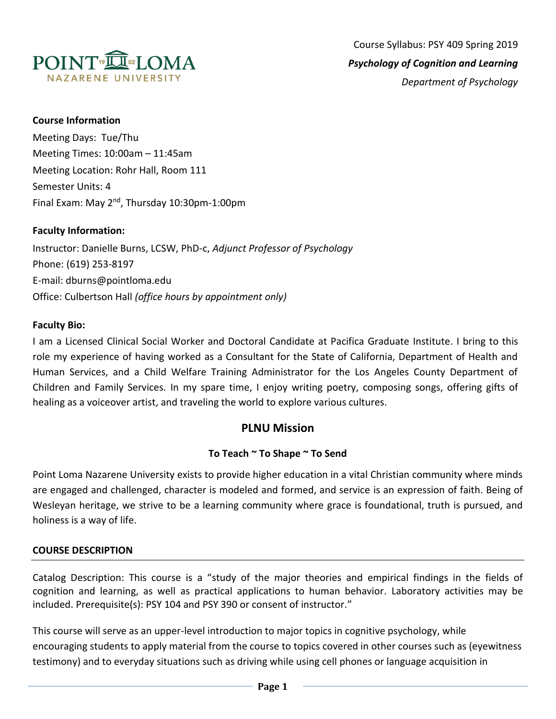

### **Course Information**

Meeting Days: Tue/Thu Meeting Times: 10:00am – 11:45am Meeting Location: Rohr Hall, Room 111 Semester Units: 4 Final Exam: May 2<sup>nd</sup>, Thursday 10:30pm-1:00pm

#### **Faculty Information:**

Instructor: Danielle Burns, LCSW, PhD-c, *Adjunct Professor of Psychology* Phone: (619) 253-8197 E-mail: dburns@pointloma.edu Office: Culbertson Hall *(office hours by appointment only)*

#### **Faculty Bio:**

I am a Licensed Clinical Social Worker and Doctoral Candidate at Pacifica Graduate Institute. I bring to this role my experience of having worked as a Consultant for the State of California, Department of Health and Human Services, and a Child Welfare Training Administrator for the Los Angeles County Department of Children and Family Services. In my spare time, I enjoy writing poetry, composing songs, offering gifts of healing as a voiceover artist, and traveling the world to explore various cultures.

# **PLNU Mission**

### **To Teach ~ To Shape ~ To Send**

Point Loma Nazarene University exists to provide higher education in a vital Christian community where minds are engaged and challenged, character is modeled and formed, and service is an expression of faith. Being of Wesleyan heritage, we strive to be a learning community where grace is foundational, truth is pursued, and holiness is a way of life.

#### **COURSE DESCRIPTION**

Catalog Description: This course is a "study of the major theories and empirical findings in the fields of cognition and learning, as well as practical applications to human behavior. Laboratory activities may be included. Prerequisite(s): PSY 104 and PSY 390 or consent of instructor."

This course will serve as an upper-level introduction to major topics in cognitive psychology, while encouraging students to apply material from the course to topics covered in other courses such as (eyewitness testimony) and to everyday situations such as driving while using cell phones or language acquisition in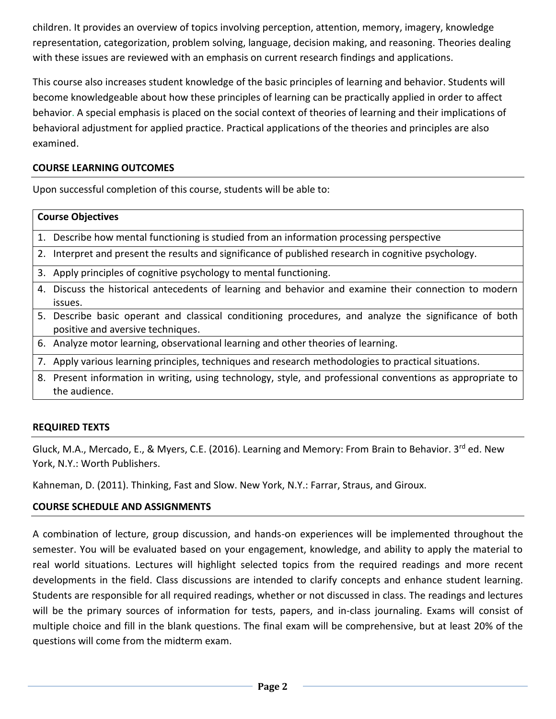children. It provides an overview of topics involving perception, attention, memory, imagery, knowledge representation, categorization, problem solving, language, decision making, and reasoning. Theories dealing with these issues are reviewed with an emphasis on current research findings and applications.

This course also increases student knowledge of the basic principles of learning and behavior. Students will become knowledgeable about how these principles of learning can be practically applied in order to affect behavior. A special emphasis is placed on the social context of theories of learning and their implications of behavioral adjustment for applied practice. Practical applications of the theories and principles are also examined.

### **COURSE LEARNING OUTCOMES**

Upon successful completion of this course, students will be able to:

#### **Course Objectives**

1. Describe how mental functioning is studied from an information processing perspective

- 2. Interpret and present the results and significance of published research in cognitive psychology.
- 3. Apply principles of cognitive psychology to mental functioning.
- 4. Discuss the historical antecedents of learning and behavior and examine their connection to modern issues.
- 5. Describe basic operant and classical conditioning procedures, and analyze the significance of both positive and aversive techniques.
- 6. Analyze motor learning, observational learning and other theories of learning.
- 7. Apply various learning principles, techniques and research methodologies to practical situations.
- 8. Present information in writing, using technology, style, and professional conventions as appropriate to the audience.

### **REQUIRED TEXTS**

Gluck, M.A., Mercado, E., & Myers, C.E. (2016). Learning and Memory: From Brain to Behavior. 3rd ed. New York, N.Y.: Worth Publishers.

Kahneman, D. (2011). Thinking, Fast and Slow. New York, N.Y.: Farrar, Straus, and Giroux.

### **COURSE SCHEDULE AND ASSIGNMENTS**

A combination of lecture, group discussion, and hands-on experiences will be implemented throughout the semester. You will be evaluated based on your engagement, knowledge, and ability to apply the material to real world situations. Lectures will highlight selected topics from the required readings and more recent developments in the field. Class discussions are intended to clarify concepts and enhance student learning. Students are responsible for all required readings, whether or not discussed in class. The readings and lectures will be the primary sources of information for tests, papers, and in-class journaling. Exams will consist of multiple choice and fill in the blank questions. The final exam will be comprehensive, but at least 20% of the questions will come from the midterm exam.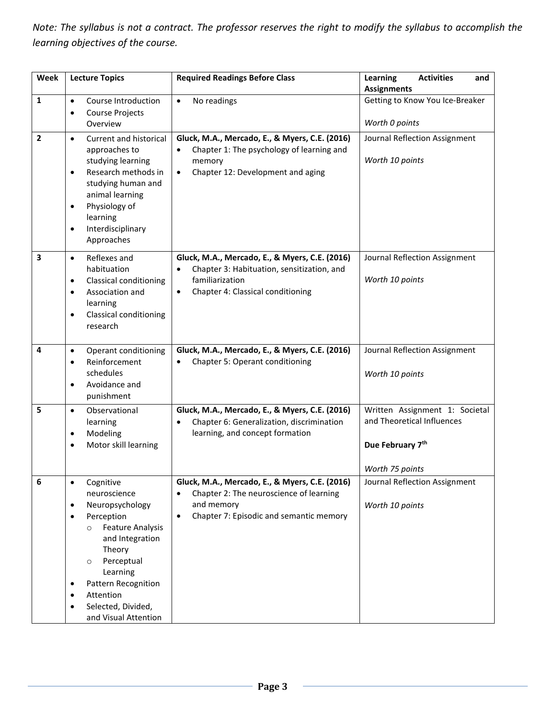*Note: The syllabus is not a contract. The professor reserves the right to modify the syllabus to accomplish the learning objectives of the course.* 

| Week                    | <b>Lecture Topics</b>                                                                                                                                                                                                                                                                                         | <b>Required Readings Before Class</b>                                                                                                                             | Learning<br><b>Activities</b><br>and<br><b>Assignments</b>                                          |
|-------------------------|---------------------------------------------------------------------------------------------------------------------------------------------------------------------------------------------------------------------------------------------------------------------------------------------------------------|-------------------------------------------------------------------------------------------------------------------------------------------------------------------|-----------------------------------------------------------------------------------------------------|
| $\mathbf{1}$            | Course Introduction<br>$\bullet$<br>Course Projects<br>$\bullet$<br>Overview                                                                                                                                                                                                                                  | No readings<br>$\bullet$                                                                                                                                          | Getting to Know You Ice-Breaker<br>Worth 0 points                                                   |
| $\mathbf{2}$            | Current and historical<br>$\bullet$<br>approaches to<br>studying learning<br>Research methods in<br>$\bullet$<br>studying human and<br>animal learning<br>Physiology of<br>$\bullet$<br>learning<br>Interdisciplinary<br>$\bullet$<br>Approaches                                                              | Gluck, M.A., Mercado, E., & Myers, C.E. (2016)<br>Chapter 1: The psychology of learning and<br>memory<br>Chapter 12: Development and aging<br>$\bullet$           | Journal Reflection Assignment<br>Worth 10 points                                                    |
| $\overline{\mathbf{3}}$ | Reflexes and<br>$\bullet$<br>habituation<br><b>Classical conditioning</b><br>$\bullet$<br>Association and<br>$\bullet$<br>learning<br><b>Classical conditioning</b><br>$\bullet$<br>research                                                                                                                  | Gluck, M.A., Mercado, E., & Myers, C.E. (2016)<br>Chapter 3: Habituation, sensitization, and<br>familiarization<br>Chapter 4: Classical conditioning<br>$\bullet$ | Journal Reflection Assignment<br>Worth 10 points                                                    |
| 4                       | Operant conditioning<br>$\bullet$<br>Reinforcement<br>$\bullet$<br>schedules<br>Avoidance and<br>$\bullet$<br>punishment                                                                                                                                                                                      | Gluck, M.A., Mercado, E., & Myers, C.E. (2016)<br>Chapter 5: Operant conditioning                                                                                 | Journal Reflection Assignment<br>Worth 10 points                                                    |
| 5                       | Observational<br>$\bullet$<br>learning<br>Modeling<br>٠<br>Motor skill learning<br>$\bullet$                                                                                                                                                                                                                  | Gluck, M.A., Mercado, E., & Myers, C.E. (2016)<br>Chapter 6: Generalization, discrimination<br>learning, and concept formation                                    | Written Assignment 1: Societal<br>and Theoretical Influences<br>Due February 7th<br>Worth 75 points |
| 6                       | Cognitive<br>$\bullet$<br>neuroscience<br>Neuropsychology<br>٠<br>Perception<br>$\bullet$<br><b>Feature Analysis</b><br>$\circ$<br>and Integration<br>Theory<br>Perceptual<br>$\circ$<br>Learning<br>Pattern Recognition<br>$\bullet$<br>Attention<br>$\bullet$<br>Selected, Divided,<br>and Visual Attention | Gluck, M.A., Mercado, E., & Myers, C.E. (2016)<br>Chapter 2: The neuroscience of learning<br>and memory<br>Chapter 7: Episodic and semantic memory<br>$\bullet$   | Journal Reflection Assignment<br>Worth 10 points                                                    |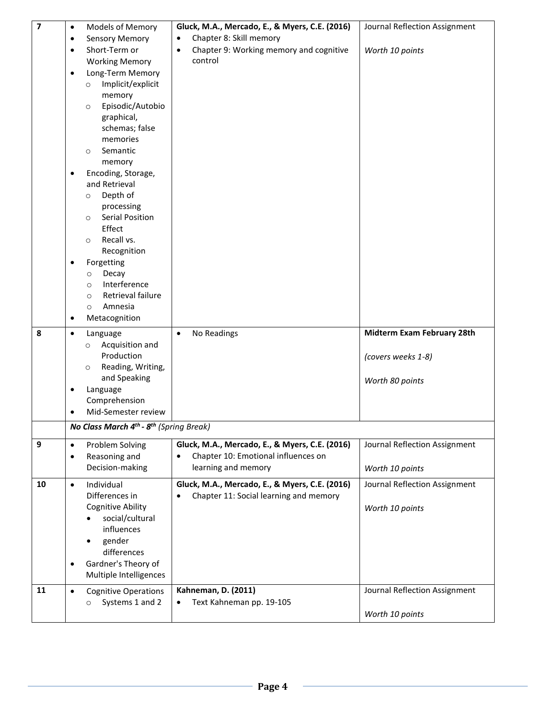| $\overline{\mathbf{z}}$ | Models of Memory<br>$\bullet$                                   | Gluck, M.A., Mercado, E., & Myers, C.E. (2016)       | Journal Reflection Assignment |
|-------------------------|-----------------------------------------------------------------|------------------------------------------------------|-------------------------------|
|                         | <b>Sensory Memory</b><br>$\bullet$                              | Chapter 8: Skill memory<br>$\bullet$                 |                               |
|                         | Short-Term or<br>$\bullet$                                      | Chapter 9: Working memory and cognitive<br>$\bullet$ | Worth 10 points               |
|                         | <b>Working Memory</b>                                           | control                                              |                               |
|                         | Long-Term Memory<br>$\bullet$                                   |                                                      |                               |
|                         | Implicit/explicit<br>$\circ$                                    |                                                      |                               |
|                         | memory                                                          |                                                      |                               |
|                         | Episodic/Autobio<br>$\circ$                                     |                                                      |                               |
|                         | graphical,                                                      |                                                      |                               |
|                         | schemas; false                                                  |                                                      |                               |
|                         | memories                                                        |                                                      |                               |
|                         | Semantic<br>$\circ$                                             |                                                      |                               |
|                         | memory                                                          |                                                      |                               |
|                         | Encoding, Storage,                                              |                                                      |                               |
|                         | and Retrieval                                                   |                                                      |                               |
|                         | Depth of<br>$\circ$                                             |                                                      |                               |
|                         | processing<br>Serial Position                                   |                                                      |                               |
|                         | $\circ$<br>Effect                                               |                                                      |                               |
|                         | Recall vs.<br>$\circ$                                           |                                                      |                               |
|                         | Recognition                                                     |                                                      |                               |
|                         | Forgetting                                                      |                                                      |                               |
|                         | Decay<br>$\circ$                                                |                                                      |                               |
|                         | Interference<br>$\circ$                                         |                                                      |                               |
|                         | Retrieval failure<br>$\circ$                                    |                                                      |                               |
|                         | Amnesia<br>$\circ$                                              |                                                      |                               |
|                         | Metacognition<br>$\bullet$                                      |                                                      |                               |
| 8                       | $\bullet$<br>Language                                           | No Readings<br>$\bullet$                             | Midterm Exam February 28th    |
|                         | Acquisition and<br>$\circ$                                      |                                                      |                               |
|                         | Production                                                      |                                                      | (covers weeks 1-8)            |
|                         | Reading, Writing,<br>$\circ$                                    |                                                      |                               |
|                         | and Speaking                                                    |                                                      | Worth 80 points               |
|                         | Language                                                        |                                                      |                               |
|                         | Comprehension                                                   |                                                      |                               |
|                         | Mid-Semester review                                             |                                                      |                               |
|                         | No Class March 4 <sup>th</sup> - 8 <sup>th</sup> (Spring Break) |                                                      |                               |
| 9                       | Problem Solving<br>$\bullet$                                    | Gluck, M.A., Mercado, E., & Myers, C.E. (2016)       | Journal Reflection Assignment |
|                         | Reasoning and<br>$\bullet$                                      | Chapter 10: Emotional influences on                  |                               |
|                         | Decision-making                                                 | learning and memory                                  | Worth 10 points               |
| 10                      | Individual<br>$\bullet$                                         | Gluck, M.A., Mercado, E., & Myers, C.E. (2016)       | Journal Reflection Assignment |
|                         | Differences in                                                  | Chapter 11: Social learning and memory<br>$\bullet$  |                               |
|                         | <b>Cognitive Ability</b>                                        |                                                      | Worth 10 points               |
|                         | social/cultural                                                 |                                                      |                               |
|                         | influences                                                      |                                                      |                               |
|                         | gender<br>$\bullet$                                             |                                                      |                               |
|                         | differences                                                     |                                                      |                               |
|                         | Gardner's Theory of                                             |                                                      |                               |
|                         | Multiple Intelligences                                          |                                                      |                               |
| 11                      | <b>Cognitive Operations</b><br>$\bullet$                        | <b>Kahneman, D. (2011)</b>                           | Journal Reflection Assignment |
|                         | Systems 1 and 2<br>$\circ$                                      | Text Kahneman pp. 19-105                             |                               |
|                         |                                                                 |                                                      | Worth 10 points               |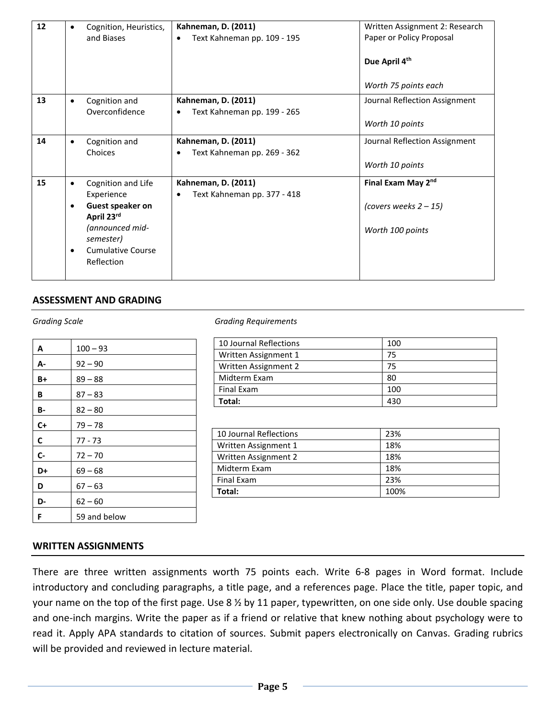| 12 | Cognition, Heuristics,<br>$\bullet$<br>and Biases   | <b>Kahneman, D. (2011)</b><br>Text Kahneman pp. 109 - 195<br>$\bullet$ | Written Assignment 2: Research<br>Paper or Policy Proposal |
|----|-----------------------------------------------------|------------------------------------------------------------------------|------------------------------------------------------------|
|    |                                                     |                                                                        | Due April 4th                                              |
|    |                                                     |                                                                        | Worth 75 points each                                       |
| 13 | Cognition and<br>$\bullet$<br>Overconfidence        | Kahneman, D. (2011)<br>Text Kahneman pp. 199 - 265                     | Journal Reflection Assignment                              |
|    |                                                     |                                                                        | Worth 10 points                                            |
| 14 | Cognition and<br>$\bullet$<br>Choices               | Kahneman, D. (2011)<br>Text Kahneman pp. 269 - 362                     | Journal Reflection Assignment                              |
|    |                                                     |                                                                        | Worth 10 points                                            |
| 15 | Cognition and Life<br>$\bullet$<br>Experience       | <b>Kahneman, D. (2011)</b><br>Text Kahneman pp. 377 - 418<br>$\bullet$ | Final Exam May 2nd                                         |
|    | Guest speaker on<br>April 23rd                      |                                                                        | (covers weeks $2 - 15$ )                                   |
|    | (announced mid-<br>semester)                        |                                                                        | Worth 100 points                                           |
|    | <b>Cumulative Course</b><br>$\bullet$<br>Reflection |                                                                        |                                                            |

### **ASSESSMENT AND GRADING**

| A         | $100 - 93$   |
|-----------|--------------|
| А-        | $92 - 90$    |
| B+        | $89 - 88$    |
| В         | $87 - 83$    |
| <b>B-</b> | $82 - 80$    |
| $C+$      | $79 - 78$    |
| C         | $77 - 73$    |
| $C -$     | $72 - 70$    |
| D+        | $69 - 68$    |
| D         | $67 - 63$    |
| D-        | $62 - 60$    |
| F         | 59 and below |

#### *Grading Scale Grading Requirements*

| 10 Journal Reflections | 100 |
|------------------------|-----|
| Written Assignment 1   | 75  |
| Written Assignment 2   | 75  |
| Midterm Exam           | 80  |
| <b>Final Exam</b>      | 100 |
| Total:                 | 430 |

| 10 Journal Reflections | 23%  |
|------------------------|------|
| Written Assignment 1   | 18%  |
| Written Assignment 2   | 18%  |
| Midterm Exam           | 18%  |
| Final Exam             | 23%  |
| Total:                 | 100% |

#### **WRITTEN ASSIGNMENTS**

There are three written assignments worth 75 points each. Write 6-8 pages in Word format. Include introductory and concluding paragraphs, a title page, and a references page. Place the title, paper topic, and your name on the top of the first page. Use 8 ½ by 11 paper, typewritten, on one side only. Use double spacing and one-inch margins. Write the paper as if a friend or relative that knew nothing about psychology were to read it. Apply APA standards to citation of sources. Submit papers electronically on Canvas. Grading rubrics will be provided and reviewed in lecture material.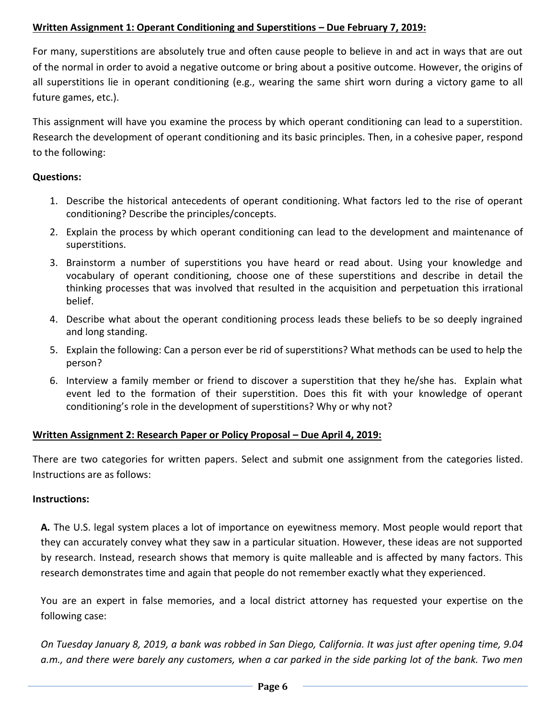## **Written Assignment 1: Operant Conditioning and Superstitions – Due February 7, 2019:**

For many, superstitions are absolutely true and often cause people to believe in and act in ways that are out of the normal in order to avoid a negative outcome or bring about a positive outcome. However, the origins of all superstitions lie in operant conditioning (e.g., wearing the same shirt worn during a victory game to all future games, etc.).

This assignment will have you examine the process by which operant conditioning can lead to a superstition. Research the development of operant conditioning and its basic principles. Then, in a cohesive paper, respond to the following:

## **Questions:**

- 1. Describe the historical antecedents of operant conditioning. What factors led to the rise of operant conditioning? Describe the principles/concepts.
- 2. Explain the process by which operant conditioning can lead to the development and maintenance of superstitions.
- 3. Brainstorm a number of superstitions you have heard or read about. Using your knowledge and vocabulary of operant conditioning, choose one of these superstitions and describe in detail the thinking processes that was involved that resulted in the acquisition and perpetuation this irrational belief.
- 4. Describe what about the operant conditioning process leads these beliefs to be so deeply ingrained and long standing.
- 5. Explain the following: Can a person ever be rid of superstitions? What methods can be used to help the person?
- 6. Interview a family member or friend to discover a superstition that they he/she has. Explain what event led to the formation of their superstition. Does this fit with your knowledge of operant conditioning's role in the development of superstitions? Why or why not?

### **Written Assignment 2: Research Paper or Policy Proposal – Due April 4, 2019:**

There are two categories for written papers. Select and submit one assignment from the categories listed. Instructions are as follows:

### **Instructions:**

**A***.* The U.S. legal system places a lot of importance on eyewitness memory. Most people would report that they can accurately convey what they saw in a particular situation. However, these ideas are not supported by research. Instead, research shows that memory is quite malleable and is affected by many factors. This research demonstrates time and again that people do not remember exactly what they experienced.

You are an expert in false memories, and a local district attorney has requested your expertise on the following case:

*On Tuesday January 8, 2019, a bank was robbed in San Diego, California. It was just after opening time, 9.04 a.m., and there were barely any customers, when a car parked in the side parking lot of the bank. Two men*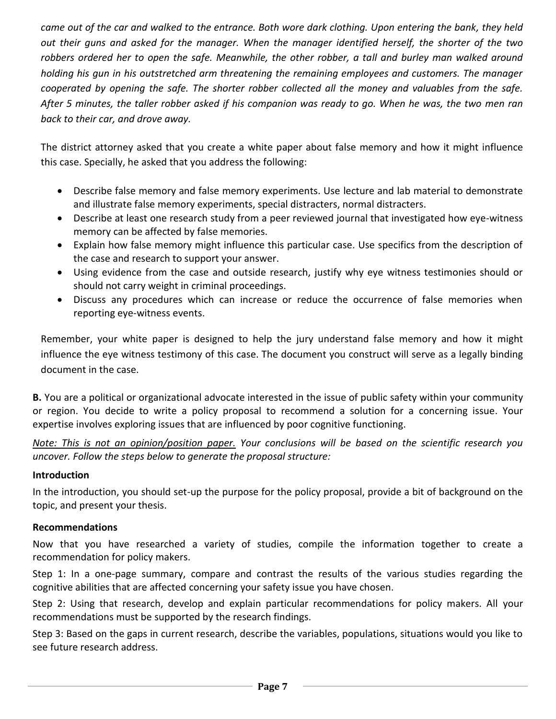*came out of the car and walked to the entrance. Both wore dark clothing. Upon entering the bank, they held out their guns and asked for the manager. When the manager identified herself, the shorter of the two*  robbers ordered her to open the safe. Meanwhile, the other robber, a tall and burley man walked around *holding his gun in his outstretched arm threatening the remaining employees and customers. The manager cooperated by opening the safe. The shorter robber collected all the money and valuables from the safe. After 5 minutes, the taller robber asked if his companion was ready to go. When he was, the two men ran back to their car, and drove away.*

The district attorney asked that you create a white paper about false memory and how it might influence this case. Specially, he asked that you address the following:

- Describe false memory and false memory experiments. Use lecture and lab material to demonstrate and illustrate false memory experiments, special distracters, normal distracters.
- Describe at least one research study from a peer reviewed journal that investigated how eye-witness memory can be affected by false memories.
- Explain how false memory might influence this particular case. Use specifics from the description of the case and research to support your answer.
- Using evidence from the case and outside research, justify why eye witness testimonies should or should not carry weight in criminal proceedings.
- Discuss any procedures which can increase or reduce the occurrence of false memories when reporting eye-witness events.

Remember, your white paper is designed to help the jury understand false memory and how it might influence the eye witness testimony of this case. The document you construct will serve as a legally binding document in the case.

**B.** You are a political or organizational advocate interested in the issue of public safety within your community or region. You decide to write a policy proposal to recommend a solution for a concerning issue. Your expertise involves exploring issues that are influenced by poor cognitive functioning.

*Note: This is not an opinion/position paper. Your conclusions will be based on the scientific research you uncover. Follow the steps below to generate the proposal structure:*

### **Introduction**

In the introduction, you should set-up the purpose for the policy proposal, provide a bit of background on the topic, and present your thesis.

#### **Recommendations**

Now that you have researched a variety of studies, compile the information together to create a recommendation for policy makers.

Step 1: In a one-page summary, compare and contrast the results of the various studies regarding the cognitive abilities that are affected concerning your safety issue you have chosen.

Step 2: Using that research, develop and explain particular recommendations for policy makers. All your recommendations must be supported by the research findings.

Step 3: Based on the gaps in current research, describe the variables, populations, situations would you like to see future research address.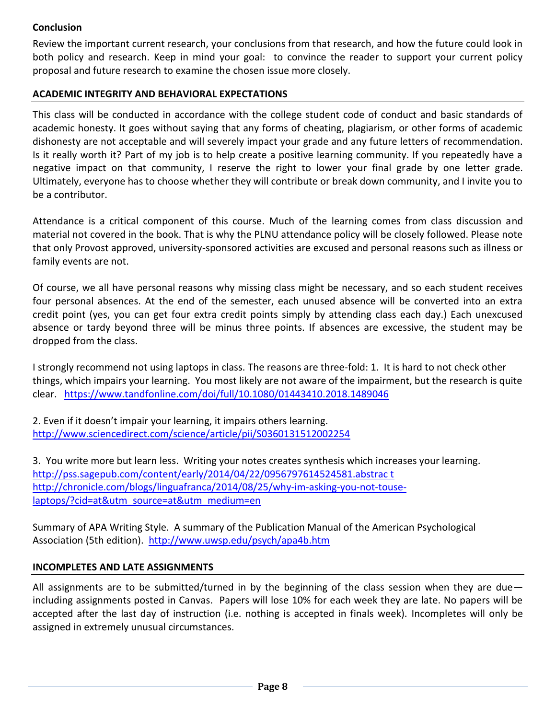## **Conclusion**

Review the important current research, your conclusions from that research, and how the future could look in both policy and research. Keep in mind your goal: to convince the reader to support your current policy proposal and future research to examine the chosen issue more closely.

## **ACADEMIC INTEGRITY AND BEHAVIORAL EXPECTATIONS**

This class will be conducted in accordance with the college student code of conduct and basic standards of academic honesty. It goes without saying that any forms of cheating, plagiarism, or other forms of academic dishonesty are not acceptable and will severely impact your grade and any future letters of recommendation. Is it really worth it? Part of my job is to help create a positive learning community. If you repeatedly have a negative impact on that community, I reserve the right to lower your final grade by one letter grade. Ultimately, everyone has to choose whether they will contribute or break down community, and I invite you to be a contributor.

Attendance is a critical component of this course. Much of the learning comes from class discussion and material not covered in the book. That is why the PLNU attendance policy will be closely followed. Please note that only Provost approved, university-sponsored activities are excused and personal reasons such as illness or family events are not.

Of course, we all have personal reasons why missing class might be necessary, and so each student receives four personal absences. At the end of the semester, each unused absence will be converted into an extra credit point (yes, you can get four extra credit points simply by attending class each day.) Each unexcused absence or tardy beyond three will be minus three points. If absences are excessive, the student may be dropped from the class.

I strongly recommend not using laptops in class. The reasons are three-fold: 1. It is hard to not check other things, which impairs your learning. You most likely are not aware of the impairment, but the research is quite clear. <https://www.tandfonline.com/doi/full/10.1080/01443410.2018.1489046>

2. Even if it doesn't impair your learning, it impairs others learning. <http://www.sciencedirect.com/science/article/pii/S0360131512002254>

3. You write more but learn less. Writing your notes creates synthesis which increases your learning. [http://pss.sagepub.com/content/early/2014/04/22/0956797614524581.abstrac t](http://pss.sagepub.com/content/early/2014/04/22/0956797614524581.abstrac%20t) [http://chronicle.com/blogs/linguafranca/2014/08/25/why-im-asking-you-not-touse](http://chronicle.com/blogs/linguafranca/2014/08/25/why-im-asking-you-not-touse-laptops/?cid=at&utm_source=at&utm_medium=en%20)[laptops/?cid=at&utm\\_source=at&utm\\_medium=en](http://chronicle.com/blogs/linguafranca/2014/08/25/why-im-asking-you-not-touse-laptops/?cid=at&utm_source=at&utm_medium=en%20)

Summary of APA Writing Style. A summary of the Publication Manual of the American Psychological Association (5th edition).<http://www.uwsp.edu/psych/apa4b.htm>

### **INCOMPLETES AND LATE ASSIGNMENTS**

All assignments are to be submitted/turned in by the beginning of the class session when they are due including assignments posted in Canvas. Papers will lose 10% for each week they are late. No papers will be accepted after the last day of instruction (i.e. nothing is accepted in finals week). Incompletes will only be assigned in extremely unusual circumstances.